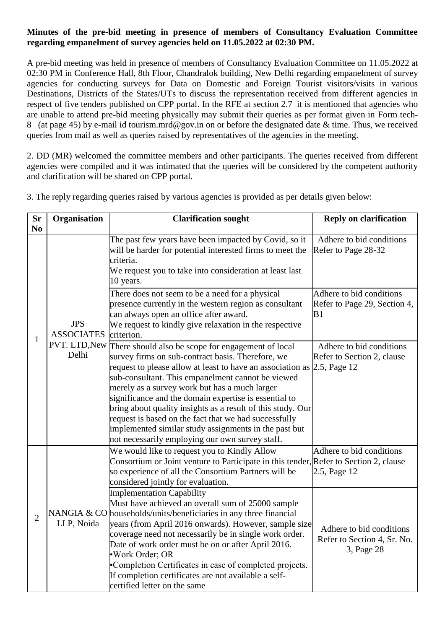## **Minutes of the pre-bid meeting in presence of members of Consultancy Evaluation Committee regarding empanelment of survey agencies held on 11.05.2022 at 02:30 PM.**

A pre-bid meeting was held in presence of members of Consultancy Evaluation Committee on 11.05.2022 at 02:30 PM in Conference Hall, 8th Floor, Chandralok building, New Delhi regarding empanelment of survey agencies for conducting surveys for Data on Domestic and Foreign Tourist visitors/visits in various Destinations, Districts of the States/UTs to discuss the representation received from different agencies in respect of five tenders published on CPP portal. In the RFE at [section 2.7](https://tourism.eoffice.gov.in/eFile/ModalCorrespondenceView?corId=146647&individualPageNo=12&cpage=351&fileId=42340&type=Receipt&mId=133092) it is mentioned that agencies who are unable to attend pre-bid meeting physically may submit their queries as per format given in [Form tech-](https://tourism.eoffice.gov.in/eFile/ModalCorrespondenceView?corId=146647&individualPageNo=45&cpage=384&fileId=42340&type=Receipt&mId=133092)[8](https://tourism.eoffice.gov.in/eFile/ModalCorrespondenceView?corId=146647&individualPageNo=45&cpage=384&fileId=42340&type=Receipt&mId=133092) (at page 45) by e-mail id tourism.mrd@gov.in on or before the designated date & time. Thus, we received queries from mail as well as queries raised by representatives of the agencies in the meeting.

2. DD (MR) welcomed the committee members and other participants. The queries received from different agencies were compiled and it was intimated that the queries will be considered by the competent authority and clarification will be shared on CPP portal.

| <b>Sr</b>      | Organisation                                              | <b>Clarification sought</b>                                                                                                                                                                                                                                                                                                                                                                                                                                                                                                                                                                                                                                                                                                                      | <b>Reply on clarification</b>                                                                                     |
|----------------|-----------------------------------------------------------|--------------------------------------------------------------------------------------------------------------------------------------------------------------------------------------------------------------------------------------------------------------------------------------------------------------------------------------------------------------------------------------------------------------------------------------------------------------------------------------------------------------------------------------------------------------------------------------------------------------------------------------------------------------------------------------------------------------------------------------------------|-------------------------------------------------------------------------------------------------------------------|
| N <sub>0</sub> |                                                           |                                                                                                                                                                                                                                                                                                                                                                                                                                                                                                                                                                                                                                                                                                                                                  |                                                                                                                   |
| $\mathbf{1}$   | <b>JPS</b><br><b>ASSOCIATES</b><br>PVT. LTD, New<br>Delhi | The past few years have been impacted by Covid, so it<br>will be harder for potential interested firms to meet the<br>criteria.<br>We request you to take into consideration at least last<br>10 years.                                                                                                                                                                                                                                                                                                                                                                                                                                                                                                                                          | Adhere to bid conditions<br>Refer to Page 28-32                                                                   |
|                |                                                           | There does not seem to be a need for a physical<br>presence currently in the western region as consultant<br>can always open an office after award.<br>We request to kindly give relaxation in the respective<br>criterion.                                                                                                                                                                                                                                                                                                                                                                                                                                                                                                                      | Adhere to bid conditions<br>Refer to Page 29, Section 4,<br>B1                                                    |
|                |                                                           | There should also be scope for engagement of local<br>survey firms on sub-contract basis. Therefore, we<br>request to please allow at least to have an association as<br>sub-consultant. This empanelment cannot be viewed<br>merely as a survey work but has a much larger<br>significance and the domain expertise is essential to<br>bring about quality insights as a result of this study. Our<br>request is based on the fact that we had successfully<br>implemented similar study assignments in the past but<br>not necessarily employing our own survey staff.                                                                                                                                                                         | Adhere to bid conditions<br>Refer to Section 2, clause<br>2.5, Page 12                                            |
| $\overline{2}$ | LLP, Noida                                                | We would like to request you to Kindly Allow<br>Consortium or Joint venture to Participate in this tender, Refer to Section 2, clause<br>so experience of all the Consortium Partners will be<br>considered jointly for evaluation.<br><b>Implementation Capability</b><br>Must have achieved an overall sum of 25000 sample<br>NANGIA & CO households/units/beneficiaries in any three financial<br>years (from April 2016 onwards). However, sample size<br>coverage need not necessarily be in single work order.<br>Date of work order must be on or after April 2016.<br>·Work Order; OR<br>•Completion Certificates in case of completed projects.<br>If completion certificates are not available a self-<br>certified letter on the same | Adhere to bid conditions<br>2.5, Page 12<br>Adhere to bid conditions<br>Refer to Section 4, Sr. No.<br>3, Page 28 |

3. The reply regarding queries raised by various agencies is provided as per details given below: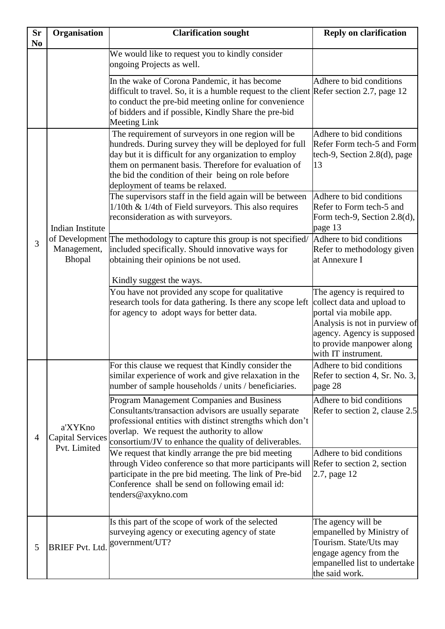| <b>Sr</b><br>N <sub>0</sub> | Organisation                                                                                                                                                                                                                                                                                                                                                                                                                                                                                                                                                                                                                                                                                                                                                                          | <b>Clarification sought</b>                                                                                                                                                                                                                                                                                              | <b>Reply on clarification</b>                                                                                                                                                                        |
|-----------------------------|---------------------------------------------------------------------------------------------------------------------------------------------------------------------------------------------------------------------------------------------------------------------------------------------------------------------------------------------------------------------------------------------------------------------------------------------------------------------------------------------------------------------------------------------------------------------------------------------------------------------------------------------------------------------------------------------------------------------------------------------------------------------------------------|--------------------------------------------------------------------------------------------------------------------------------------------------------------------------------------------------------------------------------------------------------------------------------------------------------------------------|------------------------------------------------------------------------------------------------------------------------------------------------------------------------------------------------------|
|                             |                                                                                                                                                                                                                                                                                                                                                                                                                                                                                                                                                                                                                                                                                                                                                                                       | We would like to request you to kindly consider<br>ongoing Projects as well.                                                                                                                                                                                                                                             |                                                                                                                                                                                                      |
|                             |                                                                                                                                                                                                                                                                                                                                                                                                                                                                                                                                                                                                                                                                                                                                                                                       | In the wake of Corona Pandemic, it has become<br>difficult to travel. So, it is a humble request to the client Refer section 2.7, page 12<br>to conduct the pre-bid meeting online for convenience<br>of bidders and if possible, Kindly Share the pre-bid<br><b>Meeting Link</b>                                        | Adhere to bid conditions                                                                                                                                                                             |
| 3                           | Indian Institute<br>Management,<br>Bhopal                                                                                                                                                                                                                                                                                                                                                                                                                                                                                                                                                                                                                                                                                                                                             | The requirement of surveyors in one region will be<br>hundreds. During survey they will be deployed for full<br>day but it is difficult for any organization to employ<br>them on permanent basis. Therefore for evaluation of<br>the bid the condition of their being on role before<br>deployment of teams be relaxed. | Adhere to bid conditions<br>Refer Form tech-5 and Form<br>tech-9, Section 2.8(d), page<br>13                                                                                                         |
|                             |                                                                                                                                                                                                                                                                                                                                                                                                                                                                                                                                                                                                                                                                                                                                                                                       | The supervisors staff in the field again will be between<br>$1/10$ th & $1/4$ th of Field surveyors. This also requires<br>reconsideration as with surveyors.                                                                                                                                                            | Adhere to bid conditions<br>Refer to Form tech-5 and<br>Form tech-9, Section 2.8(d),<br>page 13                                                                                                      |
|                             |                                                                                                                                                                                                                                                                                                                                                                                                                                                                                                                                                                                                                                                                                                                                                                                       | of Development The methodology to capture this group is not specified/<br>included specifically. Should innovative ways for<br>obtaining their opinions be not used.                                                                                                                                                     | Adhere to bid conditions<br>Refer to methodology given<br>at Annexure I                                                                                                                              |
|                             |                                                                                                                                                                                                                                                                                                                                                                                                                                                                                                                                                                                                                                                                                                                                                                                       | Kindly suggest the ways.<br>You have not provided any scope for qualitative<br>research tools for data gathering. Is there any scope left<br>for agency to adopt ways for better data.                                                                                                                                   | The agency is required to<br>collect data and upload to<br>portal via mobile app.<br>Analysis is not in purview of<br>agency. Agency is supposed<br>to provide manpower along<br>with IT instrument. |
| $\overline{4}$              | For this clause we request that Kindly consider the<br>similar experience of work and give relaxation in the<br>number of sample households / units / beneficiaries.<br>Program Management Companies and Business<br>Consultants/transaction advisors are usually separate<br>professional entities with distinct strengths which don't<br>a'XYKno<br>overlap. We request the authority to allow<br><b>Capital Services</b><br>consortium/JV to enhance the quality of deliverables.<br>Pvt. Limited<br>We request that kindly arrange the pre bid meeting<br>through Video conference so that more participants will Refer to section 2, section<br>participate in the pre bid meeting. The link of Pre-bid<br>Conference shall be send on following email id:<br>tenders@axykno.com |                                                                                                                                                                                                                                                                                                                          | Adhere to bid conditions<br>Refer to section 4, Sr. No. 3,<br>page 28                                                                                                                                |
|                             |                                                                                                                                                                                                                                                                                                                                                                                                                                                                                                                                                                                                                                                                                                                                                                                       | Adhere to bid conditions<br>Refer to section 2, clause 2.5                                                                                                                                                                                                                                                               |                                                                                                                                                                                                      |
|                             |                                                                                                                                                                                                                                                                                                                                                                                                                                                                                                                                                                                                                                                                                                                                                                                       |                                                                                                                                                                                                                                                                                                                          | Adhere to bid conditions<br>2.7, page 12                                                                                                                                                             |
| 5                           | <b>BRIEF Pvt. Ltd.</b>                                                                                                                                                                                                                                                                                                                                                                                                                                                                                                                                                                                                                                                                                                                                                                | Is this part of the scope of work of the selected<br>surveying agency or executing agency of state<br>government/UT?                                                                                                                                                                                                     | The agency will be<br>empanelled by Ministry of<br>Tourism. State/Uts may<br>engage agency from the<br>empanelled list to undertake<br>the said work.                                                |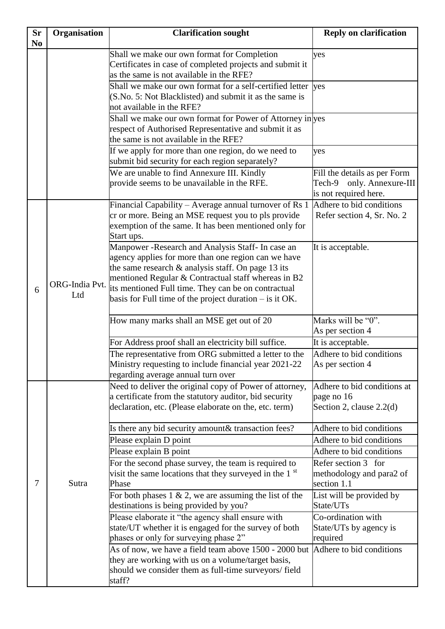| <b>Sr</b><br>N <sub>0</sub> | Organisation          | <b>Clarification sought</b>                                                                                                                                                                                                                                                                                                                   | <b>Reply on clarification</b>                                                      |
|-----------------------------|-----------------------|-----------------------------------------------------------------------------------------------------------------------------------------------------------------------------------------------------------------------------------------------------------------------------------------------------------------------------------------------|------------------------------------------------------------------------------------|
|                             |                       | Shall we make our own format for Completion<br>Certificates in case of completed projects and submit it<br>as the same is not available in the RFE?<br>Shall we make our own format for a self-certified letter                                                                                                                               | yes<br>yes                                                                         |
|                             |                       | (S.No. 5: Not Blacklisted) and submit it as the same is<br>not available in the RFE?                                                                                                                                                                                                                                                          |                                                                                    |
|                             |                       | Shall we make our own format for Power of Attorney in yes<br>respect of Authorised Representative and submit it as<br>the same is not available in the RFE?                                                                                                                                                                                   |                                                                                    |
|                             |                       | If we apply for more than one region, do we need to<br>submit bid security for each region separately?                                                                                                                                                                                                                                        | yes                                                                                |
|                             |                       | We are unable to find Annexure III. Kindly<br>provide seems to be unavailable in the RFE.                                                                                                                                                                                                                                                     | Fill the details as per Form<br>Tech-9 only. Annexure-III<br>is not required here. |
| 6                           |                       | Financial Capability – Average annual turnover of Rs 1<br>cr or more. Being an MSE request you to pls provide<br>exemption of the same. It has been mentioned only for<br>Start ups.                                                                                                                                                          | Adhere to bid conditions<br>Refer section 4, Sr. No. 2                             |
|                             | ORG-India Pvt.<br>Ltd | Manpower - Research and Analysis Staff- In case an<br>agency applies for more than one region can we have<br>the same research $\&$ analysis staff. On page 13 its<br>mentioned Regular & Contractual staff whereas in B2<br>its mentioned Full time. They can be on contractual<br>basis for Full time of the project duration $-$ is it OK. | It is acceptable.                                                                  |
|                             |                       | How many marks shall an MSE get out of 20                                                                                                                                                                                                                                                                                                     | Marks will be "0".<br>As per section 4                                             |
|                             |                       | For Address proof shall an electricity bill suffice.                                                                                                                                                                                                                                                                                          | It is acceptable.                                                                  |
|                             |                       | The representative from ORG submitted a letter to the<br>Ministry requesting to include financial year 2021-22<br>regarding average annual turn over                                                                                                                                                                                          | Adhere to bid conditions<br>As per section 4                                       |
|                             |                       | Need to deliver the original copy of Power of attorney,<br>a certificate from the statutory auditor, bid security<br>declaration, etc. (Please elaborate on the, etc. term)                                                                                                                                                                   | Adhere to bid conditions at<br>page no 16<br>Section 2, clause $2.2(d)$            |
|                             |                       | Is there any bid security amount & transaction fees?                                                                                                                                                                                                                                                                                          | Adhere to bid conditions                                                           |
|                             |                       | Please explain D point                                                                                                                                                                                                                                                                                                                        | Adhere to bid conditions                                                           |
|                             |                       | Please explain B point                                                                                                                                                                                                                                                                                                                        | Adhere to bid conditions                                                           |
| 7                           | Sutra                 | For the second phase survey, the team is required to<br>visit the same locations that they surveyed in the 1 <sup>st</sup><br>Phase                                                                                                                                                                                                           | Refer section 3 for<br>methodology and para2 of<br>section 1.1                     |
|                             |                       | For both phases $1 \& 2$ , we are assuming the list of the<br>destinations is being provided by you?                                                                                                                                                                                                                                          | List will be provided by<br>State/UTs                                              |
|                             |                       | Please elaborate it "the agency shall ensure with<br>state/UT whether it is engaged for the survey of both<br>phases or only for surveying phase 2"                                                                                                                                                                                           | Co-ordination with<br>State/UTs by agency is<br>required                           |
|                             |                       | As of now, we have a field team above 1500 - 2000 but Adhere to bid conditions<br>they are working with us on a volume/target basis,<br>should we consider them as full-time surveyors/field<br>staff?                                                                                                                                        |                                                                                    |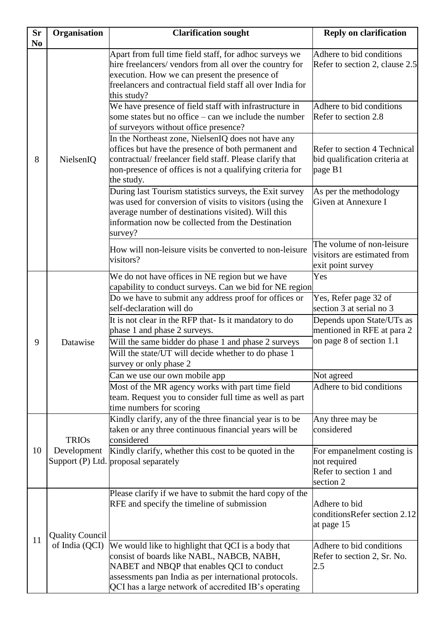| <b>Sr</b><br>N <sub>0</sub> | Organisation           | <b>Clarification sought</b>                                                                                                                                                                                                                                    | <b>Reply on clarification</b>                                                       |
|-----------------------------|------------------------|----------------------------------------------------------------------------------------------------------------------------------------------------------------------------------------------------------------------------------------------------------------|-------------------------------------------------------------------------------------|
| 8                           | NielsenIQ              | Apart from full time field staff, for adhoc surveys we<br>hire freelancers/ vendors from all over the country for<br>execution. How we can present the presence of<br>freelancers and contractual field staff all over India for<br>this study?                | Adhere to bid conditions<br>Refer to section 2, clause 2.5                          |
|                             |                        | We have presence of field staff with infrastructure in<br>some states but no office – can we include the number<br>of surveyors without office presence?                                                                                                       | Adhere to bid conditions<br>Refer to section 2.8                                    |
|                             |                        | In the Northeast zone, NielsenIQ does not have any<br>offices but have the presence of both permanent and<br>contractual/ freelancer field staff. Please clarify that<br>non-presence of offices is not a qualifying criteria for<br>the study.                | Refer to section 4 Technical<br>bid qualification criteria at<br>page B1            |
|                             |                        | During last Tourism statistics surveys, the Exit survey<br>was used for conversion of visits to visitors (using the<br>average number of destinations visited). Will this<br>information now be collected from the Destination<br>survey?                      | As per the methodology<br>Given at Annexure I                                       |
|                             |                        | How will non-leisure visits be converted to non-leisure<br>visitors?                                                                                                                                                                                           | The volume of non-leisure<br>visitors are estimated from<br>exit point survey       |
|                             | Datawise               | We do not have offices in NE region but we have<br>capability to conduct surveys. Can we bid for NE region                                                                                                                                                     | Yes                                                                                 |
| 9                           |                        | Do we have to submit any address proof for offices or<br>self-declaration will do                                                                                                                                                                              | Yes, Refer page 32 of<br>section 3 at serial no 3                                   |
|                             |                        | It is not clear in the RFP that- Is it mandatory to do<br>phase 1 and phase 2 surveys.<br>Will the same bidder do phase 1 and phase 2 surveys                                                                                                                  | Depends upon State/UTs as<br>mentioned in RFE at para 2<br>on page 8 of section 1.1 |
|                             |                        | Will the state/UT will decide whether to do phase 1<br>survey or only phase 2                                                                                                                                                                                  |                                                                                     |
|                             |                        | Can we use our own mobile app                                                                                                                                                                                                                                  | Not agreed                                                                          |
|                             |                        | Most of the MR agency works with part time field<br>team. Request you to consider full time as well as part<br>time numbers for scoring                                                                                                                        | Adhere to bid conditions                                                            |
| 10                          | <b>TRIOs</b>           | Kindly clarify, any of the three financial year is to be<br>taken or any three continuous financial years will be<br>considered                                                                                                                                | Any three may be<br>considered                                                      |
|                             | Development            | Kindly clarify, whether this cost to be quoted in the<br>Support (P) Ltd. proposal separately                                                                                                                                                                  | For empanelment costing is<br>not required<br>Refer to section 1 and<br>section 2   |
| 11                          | <b>Quality Council</b> | Please clarify if we have to submit the hard copy of the<br>RFE and specify the timeline of submission                                                                                                                                                         | Adhere to bid<br>conditionsRefer section 2.12<br>at page 15                         |
|                             | of India (QCI)         | We would like to highlight that QCI is a body that<br>consist of boards like NABL, NABCB, NABH,<br>NABET and NBQP that enables QCI to conduct<br>assessments pan India as per international protocols.<br>QCI has a large network of accredited IB's operating | Adhere to bid conditions<br>Refer to section 2, Sr. No.<br>2.5                      |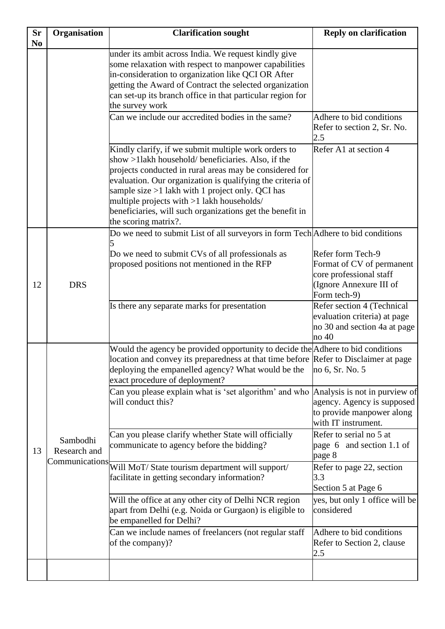| Sr<br>N <sub>0</sub> | Organisation             | <b>Clarification sought</b>                                                                                                                                                                                                                                                                                                                                                                                                  | <b>Reply on clarification</b>                                                                                        |
|----------------------|--------------------------|------------------------------------------------------------------------------------------------------------------------------------------------------------------------------------------------------------------------------------------------------------------------------------------------------------------------------------------------------------------------------------------------------------------------------|----------------------------------------------------------------------------------------------------------------------|
|                      |                          | under its ambit across India. We request kindly give<br>some relaxation with respect to manpower capabilities<br>in-consideration to organization like QCI OR After<br>getting the Award of Contract the selected organization<br>can set-up its branch office in that particular region for<br>the survey work                                                                                                              |                                                                                                                      |
|                      |                          | Can we include our accredited bodies in the same?                                                                                                                                                                                                                                                                                                                                                                            | Adhere to bid conditions<br>Refer to section 2, Sr. No.<br>2.5                                                       |
|                      |                          | Kindly clarify, if we submit multiple work orders to<br>show >11akh household/ beneficiaries. Also, if the<br>projects conducted in rural areas may be considered for<br>evaluation. Our organization is qualifying the criteria of<br>sample size $>1$ lakh with 1 project only. QCI has<br>multiple projects with >1 lakh households/<br>beneficiaries, will such organizations get the benefit in<br>the scoring matrix?. | Refer A1 at section 4                                                                                                |
| 12                   | <b>DRS</b>               | Do we need to submit List of all surveyors in form Tech Adhere to bid conditions<br>Do we need to submit CVs of all professionals as<br>proposed positions not mentioned in the RFP                                                                                                                                                                                                                                          | Refer form Tech-9<br>Format of CV of permanent<br>core professional staff<br>(Ignore Annexure III of<br>Form tech-9) |
|                      |                          | Is there any separate marks for presentation                                                                                                                                                                                                                                                                                                                                                                                 | Refer section 4 (Technical<br>evaluation criteria) at page<br>no 30 and section 4a at page<br>no 40                  |
| 13                   |                          | Would the agency be provided opportunity to decide the Adhere to bid conditions<br>location and convey its preparedness at that time before Refer to Disclaimer at page<br>deploying the empanelled agency? What would be the<br>exact procedure of deployment?                                                                                                                                                              | no 6, Sr. No. 5                                                                                                      |
|                      |                          | Can you please explain what is 'set algorithm' and who Analysis is not in purview of<br>will conduct this?                                                                                                                                                                                                                                                                                                                   | agency. Agency is supposed<br>to provide manpower along<br>with IT instrument.                                       |
|                      | Sambodhi<br>Research and | Can you please clarify whether State will officially<br>communicate to agency before the bidding?                                                                                                                                                                                                                                                                                                                            | Refer to serial no 5 at<br>page 6 and section 1.1 of<br>page 8                                                       |
|                      |                          | Communications Will MoT/State tourism department will support/<br>facilitate in getting secondary information?                                                                                                                                                                                                                                                                                                               | Refer to page 22, section<br>3.3<br>Section 5 at Page 6                                                              |
|                      |                          | Will the office at any other city of Delhi NCR region<br>apart from Delhi (e.g. Noida or Gurgaon) is eligible to<br>be empanelled for Delhi?                                                                                                                                                                                                                                                                                 | yes, but only 1 office will be<br>considered                                                                         |
|                      |                          | Can we include names of freelancers (not regular staff<br>of the company)?                                                                                                                                                                                                                                                                                                                                                   | Adhere to bid conditions<br>Refer to Section 2, clause<br>2.5                                                        |
|                      |                          |                                                                                                                                                                                                                                                                                                                                                                                                                              |                                                                                                                      |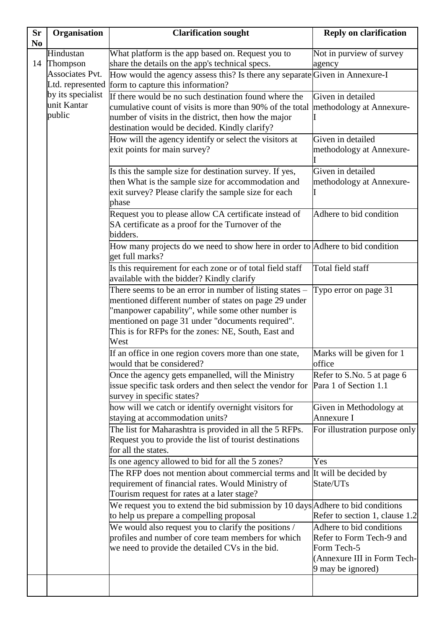| <b>Sr</b>      | Organisation                | <b>Clarification sought</b>                                                                                                       | <b>Reply on clarification</b>                        |
|----------------|-----------------------------|-----------------------------------------------------------------------------------------------------------------------------------|------------------------------------------------------|
| N <sub>o</sub> |                             |                                                                                                                                   |                                                      |
|                | Hindustan                   | What platform is the app based on. Request you to                                                                                 | Not in purview of survey                             |
| 14             | Thompson<br>Associates Pvt. | share the details on the app's technical specs.                                                                                   | agency                                               |
|                |                             | How would the agency assess this? Is there any separate Given in Annexure-I<br>Ltd. represented form to capture this information? |                                                      |
|                | by its specialist           | If there would be no such destination found where the                                                                             | Given in detailed                                    |
|                | unit Kantar                 | cumulative count of visits is more than 90% of the total                                                                          | methodology at Annexure-                             |
|                | public                      | number of visits in the district, then how the major                                                                              |                                                      |
|                |                             | destination would be decided. Kindly clarify?                                                                                     |                                                      |
|                |                             | How will the agency identify or select the visitors at                                                                            | Given in detailed                                    |
|                |                             | exit points for main survey?                                                                                                      | methodology at Annexure-                             |
|                |                             |                                                                                                                                   |                                                      |
|                |                             | Is this the sample size for destination survey. If yes,                                                                           | Given in detailed                                    |
|                |                             | then What is the sample size for accommodation and                                                                                | methodology at Annexure-                             |
|                |                             | exit survey? Please clarify the sample size for each                                                                              |                                                      |
|                |                             | phase                                                                                                                             |                                                      |
|                |                             | Request you to please allow CA certificate instead of                                                                             | Adhere to bid condition                              |
|                |                             | SA certificate as a proof for the Turnover of the                                                                                 |                                                      |
|                |                             | bidders.                                                                                                                          |                                                      |
|                |                             | How many projects do we need to show here in order to Adhere to bid condition<br>get full marks?                                  |                                                      |
|                |                             | Is this requirement for each zone or of total field staff                                                                         | Total field staff                                    |
|                |                             | available with the bidder? Kindly clarify                                                                                         |                                                      |
|                |                             | There seems to be an error in number of listing states -                                                                          | Typo error on page 31                                |
|                |                             | mentioned different number of states on page 29 under                                                                             |                                                      |
|                |                             | 'manpower capability", while some other number is                                                                                 |                                                      |
|                |                             | mentioned on page 31 under "documents required".<br>This is for RFPs for the zones: NE, South, East and                           |                                                      |
|                |                             | West                                                                                                                              |                                                      |
|                |                             | If an office in one region covers more than one state,                                                                            | Marks will be given for 1                            |
|                |                             | would that be considered?                                                                                                         | office                                               |
|                |                             | Once the agency gets empanelled, will the Ministry                                                                                | Refer to S.No. 5 at page 6                           |
|                |                             | issue specific task orders and then select the vendor for                                                                         | Para 1 of Section 1.1                                |
|                |                             | survey in specific states?                                                                                                        |                                                      |
|                |                             | how will we catch or identify overnight visitors for                                                                              | Given in Methodology at                              |
|                |                             | staying at accommodation units?                                                                                                   | Annexure I                                           |
|                |                             | The list for Maharashtra is provided in all the 5 RFPs.                                                                           | For illustration purpose only                        |
|                |                             | Request you to provide the list of tourist destinations                                                                           |                                                      |
|                |                             | for all the states.                                                                                                               |                                                      |
|                |                             | Is one agency allowed to bid for all the 5 zones?                                                                                 | Yes                                                  |
|                |                             | The RFP does not mention about commercial terms and It will be decided by                                                         |                                                      |
|                |                             | requirement of financial rates. Would Ministry of                                                                                 | State/UTs                                            |
|                |                             | Tourism request for rates at a later stage?                                                                                       |                                                      |
|                |                             | We request you to extend the bid submission by 10 days Adhere to bid conditions                                                   |                                                      |
|                |                             | to help us prepare a compelling proposal                                                                                          | Refer to section 1, clause 1.2                       |
|                |                             | We would also request you to clarify the positions /<br>profiles and number of core team members for which                        | Adhere to bid conditions<br>Refer to Form Tech-9 and |
|                |                             | we need to provide the detailed CVs in the bid.                                                                                   | Form Tech-5                                          |
|                |                             |                                                                                                                                   | (Annexure III in Form Tech-                          |
|                |                             |                                                                                                                                   | 9 may be ignored)                                    |
|                |                             |                                                                                                                                   |                                                      |
|                |                             |                                                                                                                                   |                                                      |